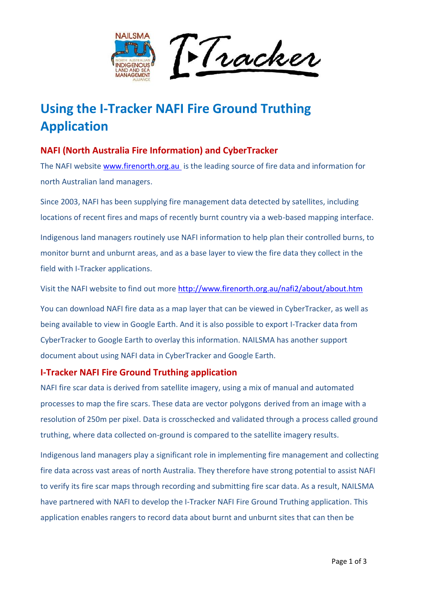

# **Using the I-Tracker NAFI Fire Ground Truthing Application**

## **NAFI (North Australia Fire Information) and CyberTracker**

The NAFI website [www.firenorth.org.au](http://www.firenorth.org.au/) is the leading source of fire data and information for north Australian land managers.

Since 2003, NAFI has been supplying fire management data detected by satellites, including locations of recent fires and maps of recently burnt country via a web-based mapping interface.

Indigenous land managers routinely use NAFI information to help plan their controlled burns, to monitor burnt and unburnt areas, and as a base layer to view the fire data they collect in the field with I-Tracker applications.

Visit the NAFI website to find out more<http://www.firenorth.org.au/nafi2/about/about.htm>

You can download NAFI fire data as a map layer that can be viewed in CyberTracker, as well as being available to view in Google Earth. And it is also possible to export I-Tracker data from CyberTracker to Google Earth to overlay this information. NAILSMA has another support document about using NAFI data in CyberTracker and Google Earth.

#### **I-Tracker NAFI Fire Ground Truthing application**

NAFI fire scar data is derived from satellite imagery, using a mix of manual and automated processes to map the fire scars. These data are vector polygons derived from an image with a resolution of 250m per pixel. Data is crosschecked and validated through a process called ground truthing, where data collected on-ground is compared to the satellite imagery results.

Indigenous land managers play a significant role in implementing fire management and collecting fire data across vast areas of north Australia. They therefore have strong potential to assist NAFI to verify its fire scar maps through recording and submitting fire scar data. As a result, NAILSMA have partnered with NAFI to develop the I-Tracker NAFI Fire Ground Truthing application. This application enables rangers to record data about burnt and unburnt sites that can then be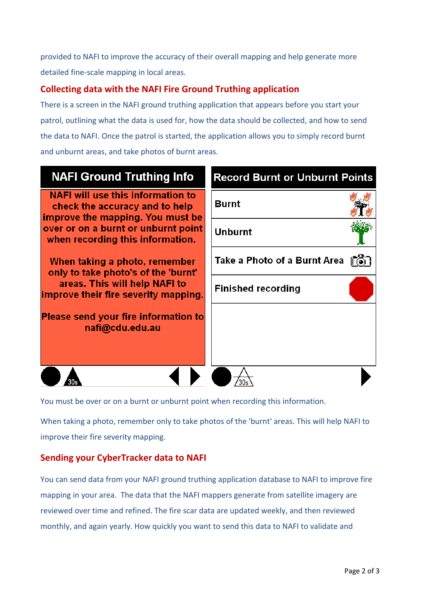provided to NAFI to improve the accuracy of their overall mapping and help generate more detailed fine-scale mapping in local areas.

## **Collecting data with the NAFI Fire Ground Truthing application**

There is a screen in the NAFI ground truthing application that appears before you start your patrol, outlining what the data is used for, how the data should be collected, and how to send the data to NAFI. Once the patrol is started, the application allows you to simply record burnt and unburnt areas, and take photos of burnt areas.

# **NAFI Ground Truthing Info**

**NAFI will use this information to** check the accuracy and to help improve the mapping. You must be over or on a burnt or unburnt point when recording this information.

When taking a photo, remember only to take photo's of the 'burnt' areas. This will help NAFI to improve their fire severity mapping.

**Please send vour fire information to** nafi@cdu.edu.au

| <b>Record Burnt or Unburnt Points</b> |  |
|---------------------------------------|--|
| Burnt                                 |  |
| Unburnt                               |  |
| Take a Photo of a Burnt Area          |  |
| <b>Finished recording</b>             |  |
|                                       |  |
|                                       |  |
|                                       |  |

You must be over or on a burnt or unburnt point when recording this information.

When taking a photo, remember only to take photos of the 'burnt' areas. This will help NAFI to improve their fire severity mapping.

#### **Sending your CyberTracker data to NAFI**

You can send data from your NAFI ground truthing application database to NAFI to improve fire mapping in your area. The data that the NAFI mappers generate from satellite imagery are reviewed over time and refined. The fire scar data are updated weekly, and then reviewed monthly, and again yearly. How quickly you want to send this data to NAFI to validate and